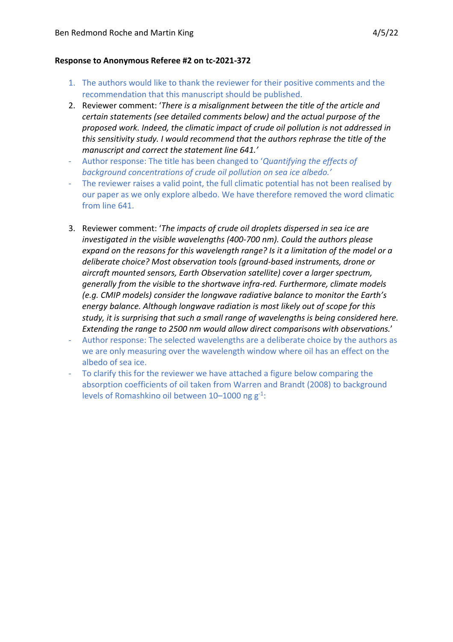## **Response to Anonymous Referee #2 on tc-2021-372**

- 1. The authors would like to thank the reviewer for their positive comments and the recommendation that this manuscript should be published.
- 2. Reviewer comment: '*There is a misalignment between the title of the article and certain statements (see detailed comments below) and the actual purpose of the proposed work. Indeed, the climatic impact of crude oil pollution is not addressed in this sensitivity study. I would recommend that the authors rephrase the title of the manuscript and correct the statement line 641.'*
- Author response: The title has been changed to '*Quantifying the effects of background concentrations of crude oil pollution on sea ice albedo.'*
- The reviewer raises a valid point, the full climatic potential has not been realised by our paper as we only explore albedo. We have therefore removed the word climatic from line 641.
- 3. Reviewer comment: '*The impacts of crude oil droplets dispersed in sea ice are investigated in the visible wavelengths (400-700 nm). Could the authors please expand on the reasons for this wavelength range? Is it a limitation of the model or a deliberate choice? Most observation tools (ground-based instruments, drone or aircraft mounted sensors, Earth Observation satellite) cover a larger spectrum, generally from the visible to the shortwave infra-red. Furthermore, climate models (e.g. CMIP models) consider the longwave radiative balance to monitor the Earth's energy balance. Although longwave radiation is most likely out of scope for this study, it is surprising that such a small range of wavelengths is being considered here. Extending the range to 2500 nm would allow direct comparisons with observations.*'
- Author response: The selected wavelengths are a deliberate choice by the authors as we are only measuring over the wavelength window where oil has an effect on the albedo of sea ice.
- To clarify this for the reviewer we have attached a figure below comparing the absorption coefficients of oil taken from Warren and Brandt (2008) to background levels of Romashkino oil between  $10-1000$  ng  $g^{-1}$ :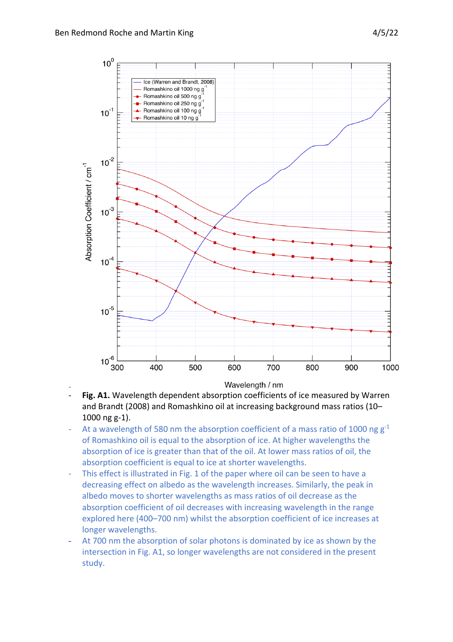

- Wavelength / nm
- Fig. A1. Wavelength dependent absorption coefficients of ice measured by Warren and Brandt (2008) and Romashkino oil at increasing background mass ratios (10– 1000 ng g-1).
- At a wavelength of 580 nm the absorption coefficient of a mass ratio of 1000 ng  $g^{-1}$ of Romashkino oil is equal to the absorption of ice. At higher wavelengths the absorption of ice is greater than that of the oil. At lower mass ratios of oil, the absorption coefficient is equal to ice at shorter wavelengths.
- This effect is illustrated in Fig. 1 of the paper where oil can be seen to have a decreasing effect on albedo as the wavelength increases. Similarly, the peak in albedo moves to shorter wavelengths as mass ratios of oil decrease as the absorption coefficient of oil decreases with increasing wavelength in the range explored here (400–700 nm) whilst the absorption coefficient of ice increases at longer wavelengths.
- At 700 nm the absorption of solar photons is dominated by ice as shown by the intersection in Fig. A1, so longer wavelengths are not considered in the present study.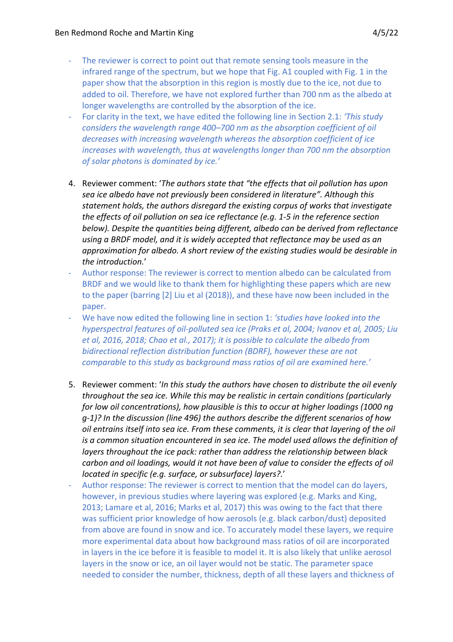- The reviewer is correct to point out that remote sensing tools measure in the infrared range of the spectrum, but we hope that Fig. A1 coupled with Fig. 1 in the paper show that the absorption in this region is mostly due to the ice, not due to added to oil. Therefore, we have not explored further than 700 nm as the albedo at longer wavelengths are controlled by the absorption of the ice.
- For clarity in the text, we have edited the following line in Section 2.1: *'This study considers the wavelength range 400–700 nm as the absorption coefficient of oil decreases with increasing wavelength whereas the absorption coefficient of ice increases with wavelength, thus at wavelengths longer than 700 nm the absorption of solar photons is dominated by ice.'*
- 4. Reviewer comment: '*The authors state that "the effects that oil pollution has upon sea ice albedo have not previously been considered in literature". Although this statement holds, the authors disregard the existing corpus of works that investigate the effects of oil pollution on sea ice reflectance (e.g. 1-5 in the reference section below). Despite the quantities being different, albedo can be derived from reflectance using a BRDF model, and it is widely accepted that reflectance may be used as an approximation for albedo. A short review of the existing studies would be desirable in the introduction.*'
- Author response: The reviewer is correct to mention albedo can be calculated from BRDF and we would like to thank them for highlighting these papers which are new to the paper (barring [2] Liu et al (2018)), and these have now been included in the paper.
- We have now edited the following line in section 1: *'studies have looked into the hyperspectral features of oil-polluted sea ice (Praks et al, 2004; Ivanov et al, 2005; Liu et al, 2016, 2018; Chao et al., 2017); it is possible to calculate the albedo from bidirectional reflection distribution function (BDRF), however these are not comparable to this study as background mass ratios of oil are examined here.'*
- 5. Reviewer comment: '*In this study the authors have chosen to distribute the oil evenly throughout the sea ice. While this may be realistic in certain conditions (particularly for low oil concentrations), how plausible is this to occur at higher loadings (1000 ng g-1)? In the discussion (line 496) the authors describe the different scenarios of how oil entrains itself into sea ice. From these comments, it is clear that layering of the oil is a common situation encountered in sea ice. The model used allows the definition of layers throughout the ice pack: rather than address the relationship between black carbon and oil loadings, would it not have been of value to consider the effects of oil located in specific (e.g. surface, or subsurface) layers?.*'
- Author response: The reviewer is correct to mention that the model can do layers, however, in previous studies where layering was explored (e.g. Marks and King, 2013; Lamare et al, 2016; Marks et al, 2017) this was owing to the fact that there was sufficient prior knowledge of how aerosols (e.g. black carbon/dust) deposited from above are found in snow and ice. To accurately model these layers, we require more experimental data about how background mass ratios of oil are incorporated in layers in the ice before it is feasible to model it. It is also likely that unlike aerosol layers in the snow or ice, an oil layer would not be static. The parameter space needed to consider the number, thickness, depth of all these layers and thickness of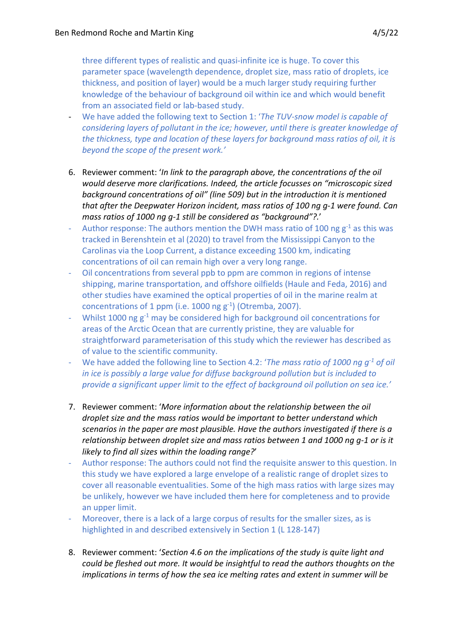three different types of realistic and quasi-infinite ice is huge. To cover this parameter space (wavelength dependence, droplet size, mass ratio of droplets, ice thickness, and position of layer) would be a much larger study requiring further knowledge of the behaviour of background oil within ice and which would benefit from an associated field or lab-based study.

- We have added the following text to Section 1: '*The TUV-snow model is capable of considering layers of pollutant in the ice; however, until there is greater knowledge of the thickness, type and location of these layers for background mass ratios of oil, it is beyond the scope of the present work.'*
- 6. Reviewer comment: '*In link to the paragraph above, the concentrations of the oil would deserve more clarifications. Indeed, the article focusses on "microscopic sized background concentrations of oil" (line 509) but in the introduction it is mentioned that after the Deepwater Horizon incident, mass ratios of 100 ng g-1 were found. Can mass ratios of 1000 ng g-1 still be considered as "background"?.*'
- Author response: The authors mention the DWH mass ratio of 100 ng  $g^{-1}$  as this was tracked in Berenshtein et al (2020) to travel from the Mississippi Canyon to the Carolinas via the Loop Current, a distance exceeding 1500 km, indicating concentrations of oil can remain high over a very long range.
- Oil concentrations from several ppb to ppm are common in regions of intense shipping, marine transportation, and offshore oilfields (Haule and Feda, 2016) and other studies have examined the optical properties of oil in the marine realm at concentrations of 1 ppm (i.e. 1000 ng  $g^{-1}$ ) (Otremba, 2007).
- Whilst 1000 ng  $g^{-1}$  may be considered high for background oil concentrations for areas of the Arctic Ocean that are currently pristine, they are valuable for straightforward parameterisation of this study which the reviewer has described as of value to the scientific community.
- We have added the following line to Section 4.2: '*The mass ratio of 1000 ng g-1 of oil in ice is possibly a large value for diffuse background pollution but is included to provide a significant upper limit to the effect of background oil pollution on sea ice.'*
- 7. Reviewer comment: '*More information about the relationship between the oil droplet size and the mass ratios would be important to better understand which scenarios in the paper are most plausible. Have the authors investigated if there is a relationship between droplet size and mass ratios between 1 and 1000 ng g-1 or is it likely to find all sizes within the loading range?*'
- Author response: The authors could not find the requisite answer to this question. In this study we have explored a large envelope of a realistic range of droplet sizes to cover all reasonable eventualities. Some of the high mass ratios with large sizes may be unlikely, however we have included them here for completeness and to provide an upper limit.
- Moreover, there is a lack of a large corpus of results for the smaller sizes, as is highlighted in and described extensively in Section 1 (L 128-147)
- 8. Reviewer comment: '*Section 4.6 on the implications of the study is quite light and could be fleshed out more. It would be insightful to read the authors thoughts on the implications in terms of how the sea ice melting rates and extent in summer will be*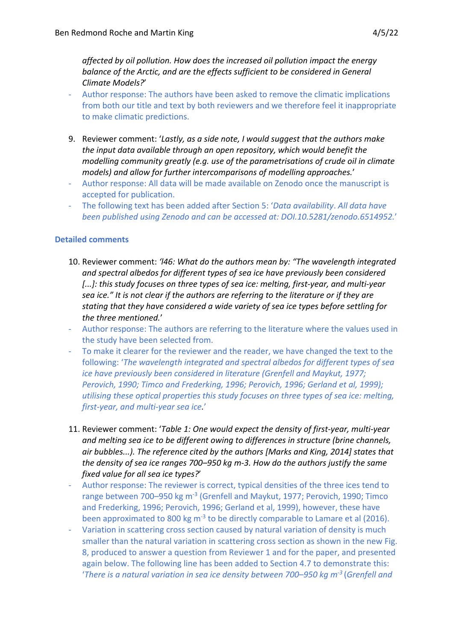*affected by oil pollution. How does the increased oil pollution impact the energy balance of the Arctic, and are the effects sufficient to be considered in General Climate Models?*'

- Author response: The authors have been asked to remove the climatic implications from both our title and text by both reviewers and we therefore feel it inappropriate to make climatic predictions.
- 9. Reviewer comment: '*Lastly, as a side note, I would suggest that the authors make the input data available through an open repository, which would benefit the modelling community greatly (e.g. use of the parametrisations of crude oil in climate models) and allow for further intercomparisons of modelling approaches.*'
- Author response: All data will be made available on Zenodo once the manuscript is accepted for publication.
- The following text has been added after Section 5: '*Data availability*. *All data have been published using Zenodo and can be accessed at: DOI.10.5281/zenodo.6514952.*'

## **Detailed comments**

- 10. Reviewer comment: *'l46: What do the authors mean by: "The wavelength integrated and spectral albedos for different types of sea ice have previously been considered*  [...]: this study focuses on three types of sea ice: melting, first-year, and multi-year *sea ice." It is not clear if the authors are referring to the literature or if they are stating that they have considered a wide variety of sea ice types before settling for the three mentioned.*'
- Author response: The authors are referring to the literature where the values used in the study have been selected from.
- To make it clearer for the reviewer and the reader, we have changed the text to the following: '*The wavelength integrated and spectral albedos for different types of sea ice have previously been considered in literature (Grenfell and Maykut, 1977; Perovich, 1990; Timco and Frederking, 1996; Perovich, 1996; Gerland et al, 1999); utilising these optical properties this study focuses on three types of sea ice: melting, first-year, and multi-year sea ice.*'
- 11. Reviewer comment: '*Table 1: One would expect the density of first-year, multi-year and melting sea ice to be different owing to differences in structure (brine channels, air bubbles...). The reference cited by the authors [Marks and King, 2014] states that the density of sea ice ranges 700–950 kg m-3. How do the authors justify the same fixed value for all sea ice types?*'
- Author response: The reviewer is correct, typical densities of the three ices tend to range between 700–950 kg m-3 (Grenfell and Maykut, 1977; Perovich, 1990; Timco and Frederking, 1996; Perovich, 1996; Gerland et al, 1999), however, these have been approximated to 800 kg  $m<sup>-3</sup>$  to be directly comparable to Lamare et al (2016).
- Variation in scattering cross section caused by natural variation of density is much smaller than the natural variation in scattering cross section as shown in the new Fig. 8, produced to answer a question from Reviewer 1 and for the paper, and presented again below. The following line has been added to Section 4.7 to demonstrate this: '*There is a natural variation in sea ice density between 700–950 kg m-3* (*Grenfell and*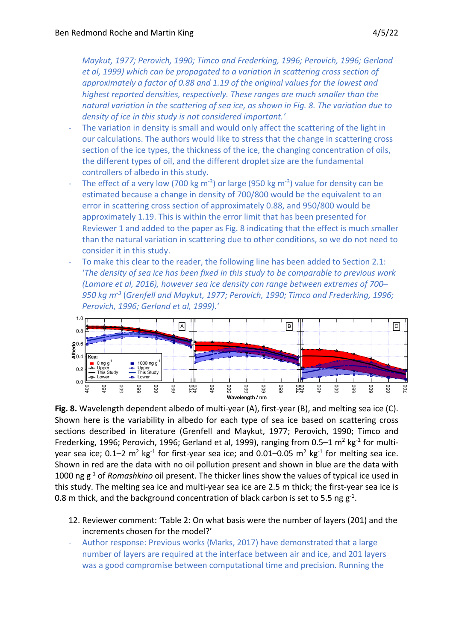*Maykut, 1977; Perovich, 1990; Timco and Frederking, 1996; Perovich, 1996; Gerland et al, 1999) which can be propagated to a variation in scattering cross section of approximately a factor of 0.88 and 1.19 of the original values for the lowest and highest reported densities, respectively. These ranges are much smaller than the natural variation in the scattering of sea ice, as shown in Fig. 8. The variation due to density of ice in this study is not considered important.'*

- The variation in density is small and would only affect the scattering of the light in our calculations. The authors would like to stress that the change in scattering cross section of the ice types, the thickness of the ice, the changing concentration of oils, the different types of oil, and the different droplet size are the fundamental controllers of albedo in this study.
- The effect of a very low (700 kg m<sup>-3</sup>) or large (950 kg m<sup>-3</sup>) value for density can be estimated because a change in density of 700/800 would be the equivalent to an error in scattering cross section of approximately 0.88, and 950/800 would be approximately 1.19. This is within the error limit that has been presented for Reviewer 1 and added to the paper as Fig. 8 indicating that the effect is much smaller than the natural variation in scattering due to other conditions, so we do not need to consider it in this study.
- To make this clear to the reader, the following line has been added to Section 2.1: '*The density of sea ice has been fixed in this study to be comparable to previous work (Lamare et al, 2016), however sea ice density can range between extremes of 700– 950 kg m-3* (*Grenfell and Maykut, 1977; Perovich, 1990; Timco and Frederking, 1996; Perovich, 1996; Gerland et al, 1999).'*



**Fig. 8.** Wavelength dependent albedo of multi-year (A), first-year (B), and melting sea ice (C). Shown here is the variability in albedo for each type of sea ice based on scattering cross sections described in literature (Grenfell and Maykut, 1977; Perovich, 1990; Timco and Frederking, 1996; Perovich, 1996; Gerland et al, 1999), ranging from 0.5–1  $m^2$  kg<sup>-1</sup> for multiyear sea ice;  $0.1-2$  m<sup>2</sup> kg<sup>-1</sup> for first-year sea ice; and  $0.01-0.05$  m<sup>2</sup> kg<sup>-1</sup> for melting sea ice. Shown in red are the data with no oil pollution present and shown in blue are the data with 1000 ng g-1 of *Romashkino* oil present. The thicker lines show the values of typical ice used in this study. The melting sea ice and multi-year sea ice are 2.5 m thick; the first-year sea ice is 0.8 m thick, and the background concentration of black carbon is set to 5.5 ng  $g^{-1}$ .

- 12. Reviewer comment: 'Table 2: On what basis were the number of layers (201) and the increments chosen for the model?'
- Author response: Previous works (Marks, 2017) have demonstrated that a large number of layers are required at the interface between air and ice, and 201 layers was a good compromise between computational time and precision. Running the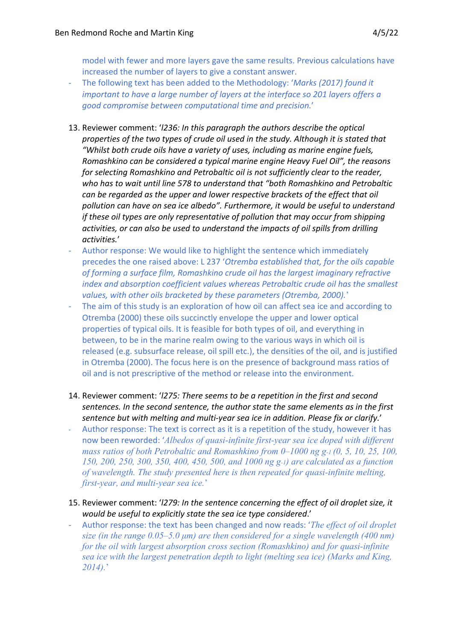model with fewer and more layers gave the same results. Previous calculations have increased the number of layers to give a constant answer.

- The following text has been added to the Methodology: '*Marks (2017) found it important to have a large number of layers at the interface so 201 layers offers a good compromise between computational time and precision.*'
- 13. Reviewer comment: '*l236: In this paragraph the authors describe the optical properties of the two types of crude oil used in the study. Although it is stated that "Whilst both crude oils have a variety of uses, including as marine engine fuels, Romashkino can be considered a typical marine engine Heavy Fuel Oil", the reasons for selecting Romashkino and Petrobaltic oil is not sufficiently clear to the reader, who has to wait until line 578 to understand that "both Romashkino and Petrobaltic can be regarded as the upper and lower respective brackets of the effect that oil pollution can have on sea ice albedo". Furthermore, it would be useful to understand if these oil types are only representative of pollution that may occur from shipping activities, or can also be used to understand the impacts of oil spills from drilling activities.*'
- Author response: We would like to highlight the sentence which immediately precedes the one raised above: L 237 '*Otremba established that, for the oils capable of forming a surface film, Romashkino crude oil has the largest imaginary refractive index and absorption coefficient values whereas Petrobaltic crude oil has the smallest values, with other oils bracketed by these parameters (Otremba, 2000).*'
- The aim of this study is an exploration of how oil can affect sea ice and according to Otremba (2000) these oils succinctly envelope the upper and lower optical properties of typical oils. It is feasible for both types of oil, and everything in between, to be in the marine realm owing to the various ways in which oil is released (e.g. subsurface release, oil spill etc.), the densities of the oil, and is justified in Otremba (2000). The focus here is on the presence of background mass ratios of oil and is not prescriptive of the method or release into the environment.
- 14. Reviewer comment: '*l275: There seems to be a repetition in the first and second sentences. In the second sentence, the author state the same elements as in the first sentence but with melting and multi-year sea ice in addition. Please fix or clarify.*'
- Author response: The text is correct as it is a repetition of the study, however it has now been reworded: '*Albedos of quasi-infinite first-year sea ice doped with different mass ratios of both Petrobaltic and Romashkino from 0–1000 ng g-1 (0, 5, 10, 25, 100, 150, 200, 250, 300, 350, 400, 450, 500, and 1000 ng g-1) are calculated as a function of wavelength. The study presented here is then repeated for quasi-infinite melting, first-year, and multi-year sea ice.*'
- 15. Reviewer comment: '*l279: In the sentence concerning the effect of oil droplet size, it would be useful to explicitly state the sea ice type considered*.'
- Author response: the text has been changed and now reads: '*The effect of oil droplet size (in the range 0.05–5.0 μm) are then considered for a single wavelength (400 nm) for the oil with largest absorption cross section (Romashkino) and for quasi-infinite sea ice with the largest penetration depth to light (melting sea ice) (Marks and King, 2014).*'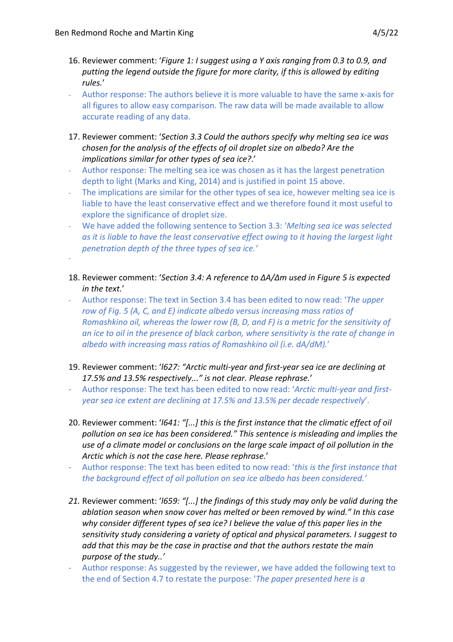-

- 16. Reviewer comment: '*Figure 1: I suggest using a Y axis ranging from 0.3 to 0.9, and putting the legend outside the figure for more clarity, if this is allowed by editing rules.*'
- Author response: The authors believe it is more valuable to have the same x-axis for all figures to allow easy comparison. The raw data will be made available to allow accurate reading of any data.
- 17. Reviewer comment: '*Section 3.3 Could the authors specify why melting sea ice was chosen for the analysis of the effects of oil droplet size on albedo? Are the implications similar for other types of sea ice?*.'
- Author response: The melting sea ice was chosen as it has the largest penetration depth to light (Marks and King, 2014) and is justified in point 15 above.
- The implications are similar for the other types of sea ice, however melting sea ice is liable to have the least conservative effect and we therefore found it most useful to explore the significance of droplet size.
- We have added the following sentence to Section 3.3: '*Melting sea ice was selected as it is liable to have the least conservative effect owing to it having the largest light penetration depth of the three types of sea ice.'*
- 18. Reviewer comment: '*Section 3.4: A reference to ΔA/Δm used in Figure 5 is expected in the text.*'
- Author response: The text in Section 3.4 has been edited to now read: '*The upper row of Fig. 5 (A, C, and E) indicate albedo versus increasing mass ratios of Romashkino oil, whereas the lower row (B, D, and F) is a metric for the sensitivity of an ice to oil in the presence of black carbon, where sensitivity is the rate of change in albedo with increasing mass ratios of Romashkino oil (i.e. dA/dM).*'
- 19. Reviewer comment: '*l627: "Arctic multi-year and first-year sea ice are declining at 17.5% and 13.5% respectively..." is not clear. Please rephrase.*'
- Author response: The text has been edited to now read: '*Arctic multi-year and firstyear sea ice extent are declining at 17.5% and 13.5% per decade respectively*'.
- 20. Reviewer comment: '*l641: "[...] this is the first instance that the climatic effect of oil pollution on sea ice has been considered." This sentence is misleading and implies the use of a climate model or conclusions on the large scale impact of oil pollution in the Arctic which is not the case here. Please rephrase.*'
- Author response: The text has been edited to now read: '*this is the first instance that the background effect of oil pollution on sea ice albedo has been considered.'*
- *21.* Reviewer comment: '*l659: "[...] the findings of this study may only be valid during the ablation season when snow cover has melted or been removed by wind." In this case why consider different types of sea ice? I believe the value of this paper lies in the sensitivity study considering a variety of optical and physical parameters. I suggest to add that this may be the case in practise and that the authors restate the main purpose of the study..'*
- Author response: As suggested by the reviewer, we have added the following text to the end of Section 4.7 to restate the purpose: '*The paper presented here is a*